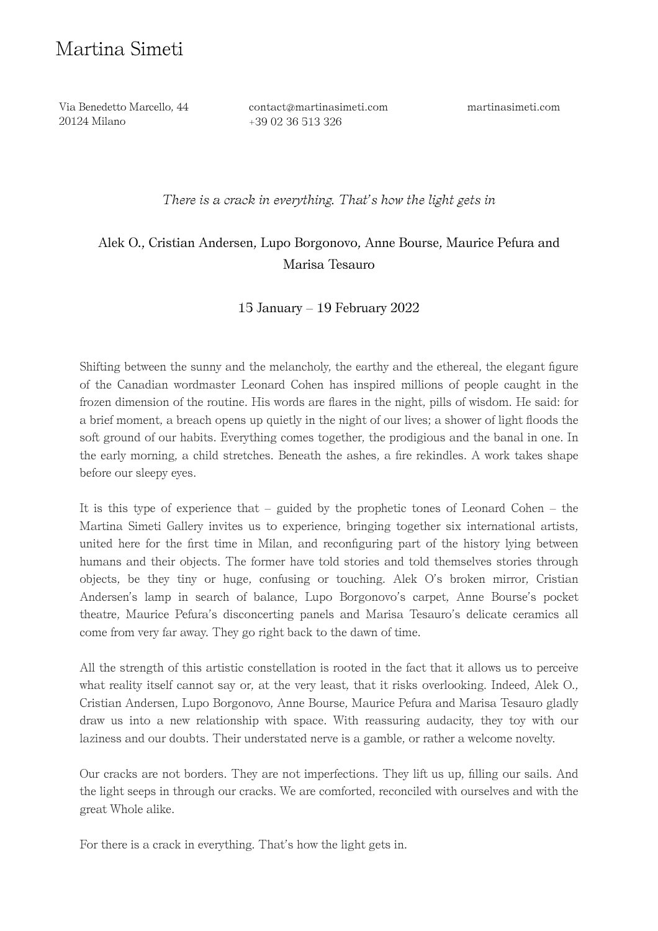# Martina Simeti

 Via Benedetto Marcello, 44 20124 Milano

contact@martinasimeti.com +39 02 36 513 326

martinasimeti.com

*There is a crack in everything. That's how the light gets in*

## Alek O., Cristian Andersen, Lupo Borgonovo, Anne Bourse, Maurice Pefura and Marisa Tesauro

### 15 January – 19 February 2022

Shifting between the sunny and the melancholy, the earthy and the ethereal, the elegant figure of the Canadian wordmaster Leonard Cohen has inspired millions of people caught in the frozen dimension of the routine. His words are flares in the night, pills of wisdom. He said: for a brief moment, a breach opens up quietly in the night of our lives; a shower of light floods the soft ground of our habits. Everything comes together, the prodigious and the banal in one. In the early morning, a child stretches. Beneath the ashes, a fire rekindles. A work takes shape before our sleepy eyes.

It is this type of experience that – guided by the prophetic tones of Leonard Cohen – the Martina Simeti Gallery invites us to experience, bringing together six international artists, united here for the first time in Milan, and reconfiguring part of the history lying between humans and their objects. The former have told stories and told themselves stories through objects, be they tiny or huge, confusing or touching. Alek O's broken mirror, Cristian Andersen's lamp in search of balance, Lupo Borgonovo's carpet, Anne Bourse's pocket theatre, Maurice Pefura's disconcerting panels and Marisa Tesauro's delicate ceramics all come from very far away. They go right back to the dawn of time.

All the strength of this artistic constellation is rooted in the fact that it allows us to perceive what reality itself cannot say or, at the very least, that it risks overlooking. Indeed, Alek O., Cristian Andersen, Lupo Borgonovo, Anne Bourse, Maurice Pefura and Marisa Tesauro gladly draw us into a new relationship with space. With reassuring audacity, they toy with our laziness and our doubts. Their understated nerve is a gamble, or rather a welcome novelty.

Our cracks are not borders. They are not imperfections. They lift us up, filling our sails. And the light seeps in through our cracks. We are comforted, reconciled with ourselves and with the great Whole alike.

For there is a crack in everything. That's how the light gets in.